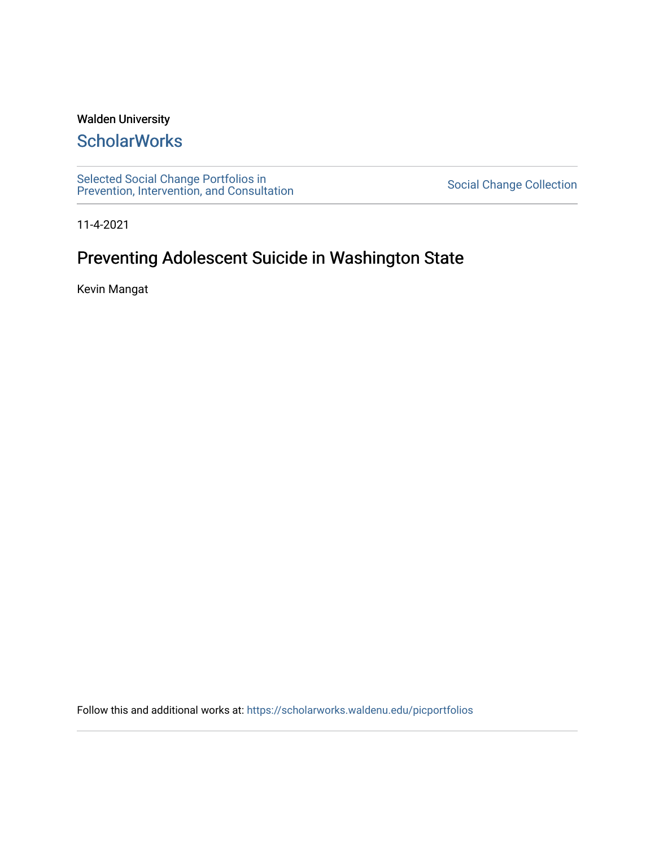#### Walden University

# **ScholarWorks**

[Selected Social Change Portfolios in](https://scholarworks.waldenu.edu/picportfolios) Selected Social Change Collection<br>[Prevention, Intervention, and Consultation](https://scholarworks.waldenu.edu/picportfolios) Server Social Change Collection

11-4-2021

# Preventing Adolescent Suicide in Washington State

Kevin Mangat

Follow this and additional works at: [https://scholarworks.waldenu.edu/picportfolios](https://scholarworks.waldenu.edu/picportfolios?utm_source=scholarworks.waldenu.edu%2Fpicportfolios%2F41&utm_medium=PDF&utm_campaign=PDFCoverPages)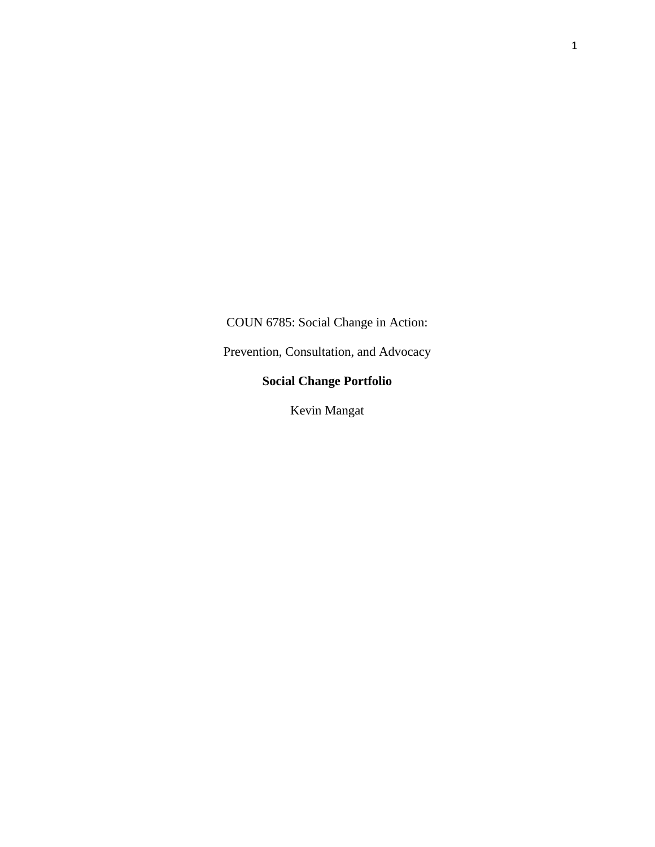COUN 6785: Social Change in Action:

Prevention, Consultation, and Advocacy

#### **Social Change Portfolio**

Kevin Mangat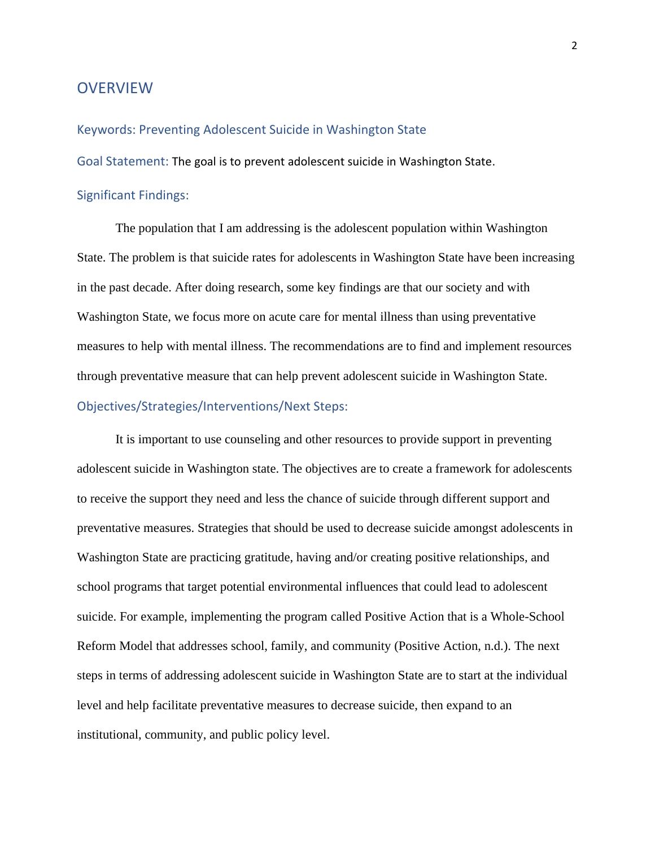#### **OVERVIEW**

Keywords: Preventing Adolescent Suicide in Washington State

Goal Statement: The goal is to prevent adolescent suicide in Washington State.

#### Significant Findings:

The population that I am addressing is the adolescent population within Washington State. The problem is that suicide rates for adolescents in Washington State have been increasing in the past decade. After doing research, some key findings are that our society and with Washington State, we focus more on acute care for mental illness than using preventative measures to help with mental illness. The recommendations are to find and implement resources through preventative measure that can help prevent adolescent suicide in Washington State. Objectives/Strategies/Interventions/Next Steps:

It is important to use counseling and other resources to provide support in preventing adolescent suicide in Washington state. The objectives are to create a framework for adolescents to receive the support they need and less the chance of suicide through different support and preventative measures. Strategies that should be used to decrease suicide amongst adolescents in Washington State are practicing gratitude, having and/or creating positive relationships, and school programs that target potential environmental influences that could lead to adolescent suicide. For example, implementing the program called Positive Action that is a Whole-School Reform Model that addresses school, family, and community (Positive Action, n.d.). The next steps in terms of addressing adolescent suicide in Washington State are to start at the individual level and help facilitate preventative measures to decrease suicide, then expand to an institutional, community, and public policy level.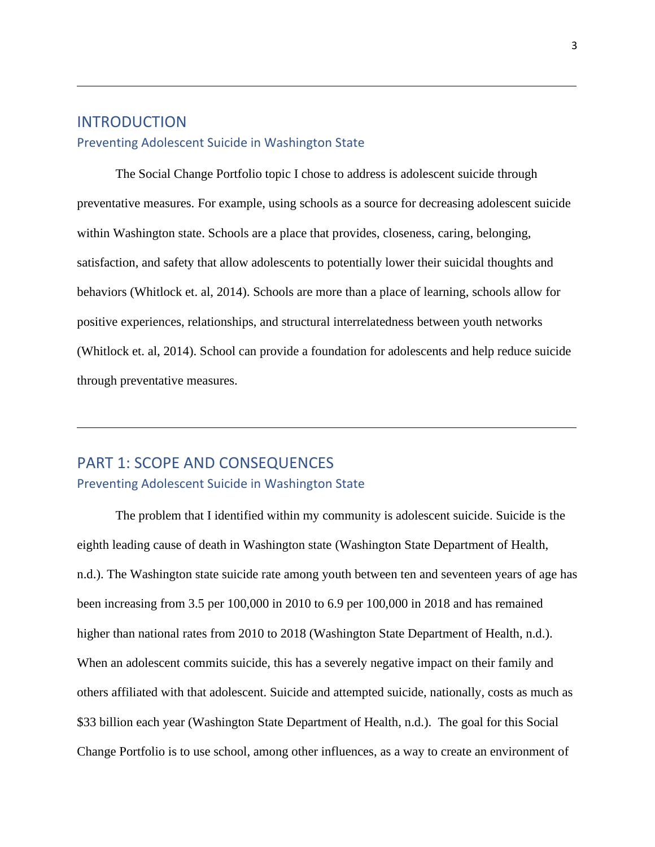### INTRODUCTION Preventing Adolescent Suicide in Washington State

The Social Change Portfolio topic I chose to address is adolescent suicide through preventative measures. For example, using schools as a source for decreasing adolescent suicide within Washington state. Schools are a place that provides, closeness, caring, belonging, satisfaction, and safety that allow adolescents to potentially lower their suicidal thoughts and behaviors (Whitlock et. al, 2014). Schools are more than a place of learning, schools allow for positive experiences, relationships, and structural interrelatedness between youth networks (Whitlock et. al, 2014). School can provide a foundation for adolescents and help reduce suicide through preventative measures.

### PART 1: SCOPE AND CONSEQUENCES Preventing Adolescent Suicide in Washington State

The problem that I identified within my community is adolescent suicide. Suicide is the eighth leading cause of death in Washington state (Washington State Department of Health, n.d.). The Washington state suicide rate among youth between ten and seventeen years of age has been increasing from 3.5 per 100,000 in 2010 to 6.9 per 100,000 in 2018 and has remained higher than national rates from 2010 to 2018 (Washington State Department of Health, n.d.). When an adolescent commits suicide, this has a severely negative impact on their family and others affiliated with that adolescent. Suicide and attempted suicide, nationally, costs as much as \$33 billion each year (Washington State Department of Health, n.d.). The goal for this Social Change Portfolio is to use school, among other influences, as a way to create an environment of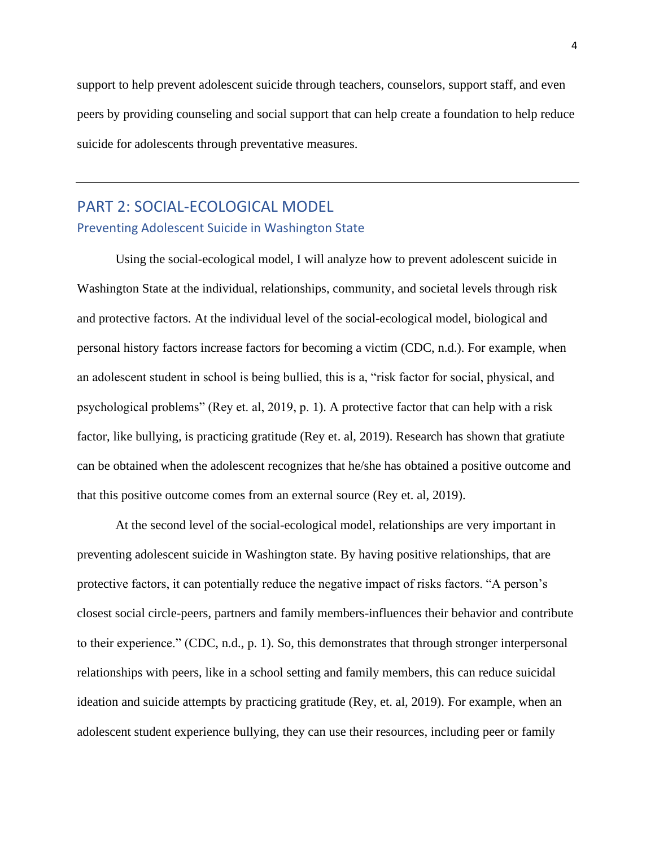support to help prevent adolescent suicide through teachers, counselors, support staff, and even peers by providing counseling and social support that can help create a foundation to help reduce suicide for adolescents through preventative measures.

### PART 2: SOCIAL-ECOLOGICAL MODEL Preventing Adolescent Suicide in Washington State

Using the social-ecological model, I will analyze how to prevent adolescent suicide in Washington State at the individual, relationships, community, and societal levels through risk and protective factors. At the individual level of the social-ecological model, biological and personal history factors increase factors for becoming a victim (CDC, n.d.). For example, when an adolescent student in school is being bullied, this is a, "risk factor for social, physical, and psychological problems" (Rey et. al, 2019, p. 1). A protective factor that can help with a risk factor, like bullying, is practicing gratitude (Rey et. al, 2019). Research has shown that gratiute can be obtained when the adolescent recognizes that he/she has obtained a positive outcome and that this positive outcome comes from an external source (Rey et. al, 2019).

At the second level of the social-ecological model, relationships are very important in preventing adolescent suicide in Washington state. By having positive relationships, that are protective factors, it can potentially reduce the negative impact of risks factors. "A person's closest social circle-peers, partners and family members-influences their behavior and contribute to their experience." (CDC, n.d., p. 1). So, this demonstrates that through stronger interpersonal relationships with peers, like in a school setting and family members, this can reduce suicidal ideation and suicide attempts by practicing gratitude (Rey, et. al, 2019). For example, when an adolescent student experience bullying, they can use their resources, including peer or family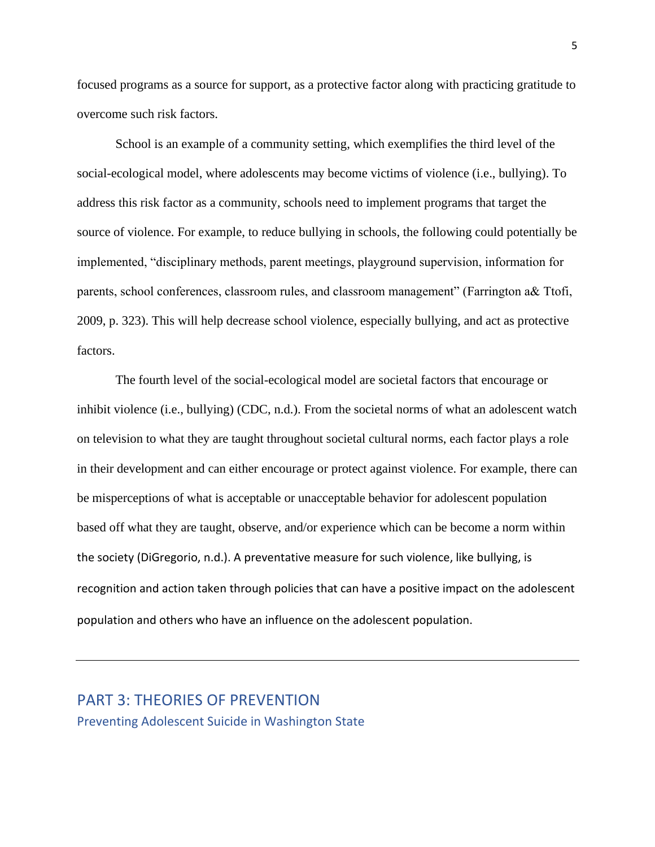focused programs as a source for support, as a protective factor along with practicing gratitude to overcome such risk factors.

School is an example of a community setting, which exemplifies the third level of the social-ecological model, where adolescents may become victims of violence (i.e., bullying). To address this risk factor as a community, schools need to implement programs that target the source of violence. For example, to reduce bullying in schools, the following could potentially be implemented, "disciplinary methods, parent meetings, playground supervision, information for parents, school conferences, classroom rules, and classroom management" (Farrington a& Ttofi, 2009, p. 323). This will help decrease school violence, especially bullying, and act as protective factors.

The fourth level of the social-ecological model are societal factors that encourage or inhibit violence (i.e., bullying) (CDC, n.d.). From the societal norms of what an adolescent watch on television to what they are taught throughout societal cultural norms, each factor plays a role in their development and can either encourage or protect against violence. For example, there can be misperceptions of what is acceptable or unacceptable behavior for adolescent population based off what they are taught, observe, and/or experience which can be become a norm within the society (DiGregorio, n.d.). A preventative measure for such violence, like bullying, is recognition and action taken through policies that can have a positive impact on the adolescent population and others who have an influence on the adolescent population.

PART 3: THEORIES OF PREVENTION Preventing Adolescent Suicide in Washington State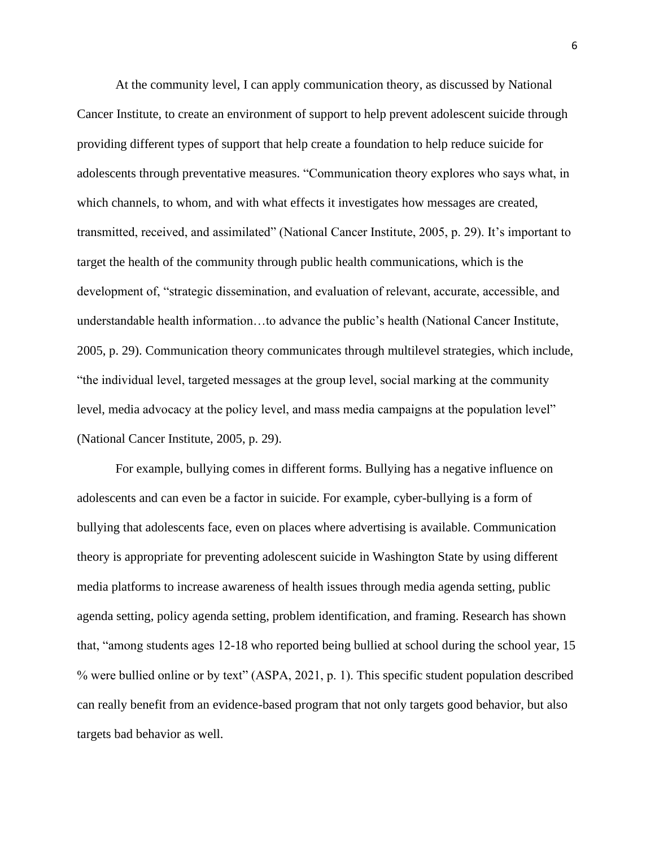At the community level, I can apply communication theory, as discussed by National Cancer Institute, to create an environment of support to help prevent adolescent suicide through providing different types of support that help create a foundation to help reduce suicide for adolescents through preventative measures. "Communication theory explores who says what, in which channels, to whom, and with what effects it investigates how messages are created, transmitted, received, and assimilated" (National Cancer Institute, 2005, p. 29). It's important to target the health of the community through public health communications, which is the development of, "strategic dissemination, and evaluation of relevant, accurate, accessible, and understandable health information…to advance the public's health (National Cancer Institute, 2005, p. 29). Communication theory communicates through multilevel strategies, which include, "the individual level, targeted messages at the group level, social marking at the community level, media advocacy at the policy level, and mass media campaigns at the population level" (National Cancer Institute, 2005, p. 29).

For example, bullying comes in different forms. Bullying has a negative influence on adolescents and can even be a factor in suicide. For example, cyber-bullying is a form of bullying that adolescents face, even on places where advertising is available. Communication theory is appropriate for preventing adolescent suicide in Washington State by using different media platforms to increase awareness of health issues through media agenda setting, public agenda setting, policy agenda setting, problem identification, and framing. Research has shown that, "among students ages 12-18 who reported being bullied at school during the school year, 15 % were bullied online or by text" (ASPA, 2021, p. 1). This specific student population described can really benefit from an evidence-based program that not only targets good behavior, but also targets bad behavior as well.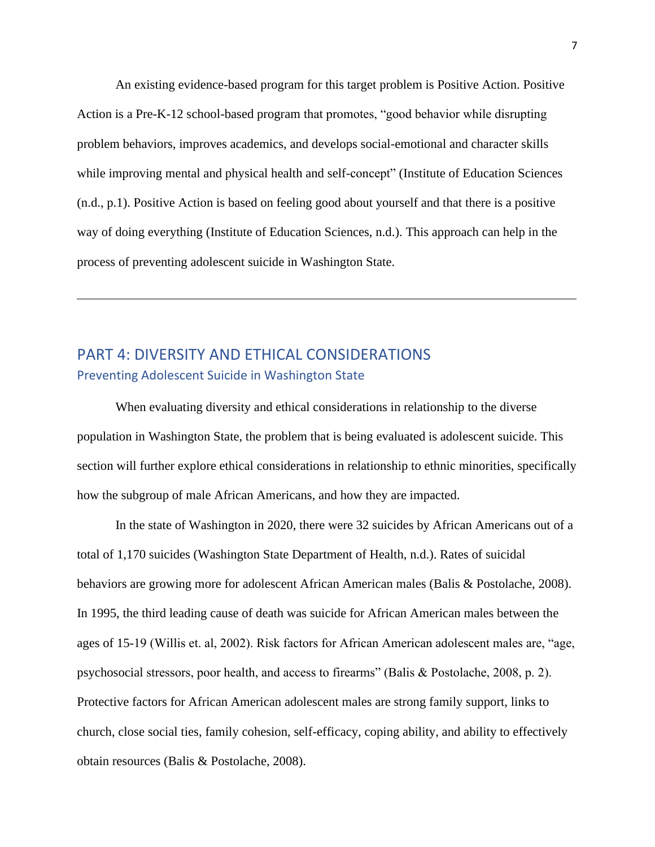An existing evidence-based program for this target problem is Positive Action. Positive Action is a Pre-K-12 school-based program that promotes, "good behavior while disrupting problem behaviors, improves academics, and develops social-emotional and character skills while improving mental and physical health and self-concept" (Institute of Education Sciences (n.d., p.1). Positive Action is based on feeling good about yourself and that there is a positive way of doing everything (Institute of Education Sciences, n.d.). This approach can help in the process of preventing adolescent suicide in Washington State.

### PART 4: DIVERSITY AND ETHICAL CONSIDERATIONS Preventing Adolescent Suicide in Washington State

When evaluating diversity and ethical considerations in relationship to the diverse population in Washington State, the problem that is being evaluated is adolescent suicide. This section will further explore ethical considerations in relationship to ethnic minorities, specifically how the subgroup of male African Americans, and how they are impacted.

In the state of Washington in 2020, there were 32 suicides by African Americans out of a total of 1,170 suicides (Washington State Department of Health, n.d.). Rates of suicidal behaviors are growing more for adolescent African American males (Balis & Postolache, 2008). In 1995, the third leading cause of death was suicide for African American males between the ages of 15-19 (Willis et. al, 2002). Risk factors for African American adolescent males are, "age, psychosocial stressors, poor health, and access to firearms" (Balis & Postolache, 2008, p. 2). Protective factors for African American adolescent males are strong family support, links to church, close social ties, family cohesion, self-efficacy, coping ability, and ability to effectively obtain resources (Balis & Postolache, 2008).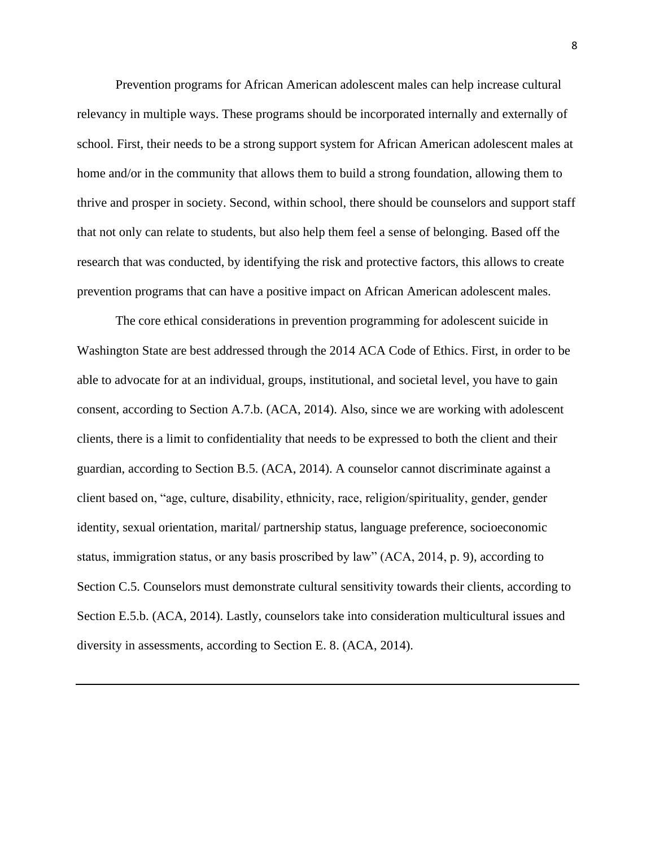Prevention programs for African American adolescent males can help increase cultural relevancy in multiple ways. These programs should be incorporated internally and externally of school. First, their needs to be a strong support system for African American adolescent males at home and/or in the community that allows them to build a strong foundation, allowing them to thrive and prosper in society. Second, within school, there should be counselors and support staff that not only can relate to students, but also help them feel a sense of belonging. Based off the research that was conducted, by identifying the risk and protective factors, this allows to create prevention programs that can have a positive impact on African American adolescent males.

The core ethical considerations in prevention programming for adolescent suicide in Washington State are best addressed through the 2014 ACA Code of Ethics. First, in order to be able to advocate for at an individual, groups, institutional, and societal level, you have to gain consent, according to Section A.7.b. (ACA, 2014). Also, since we are working with adolescent clients, there is a limit to confidentiality that needs to be expressed to both the client and their guardian, according to Section B.5. (ACA, 2014). A counselor cannot discriminate against a client based on, "age, culture, disability, ethnicity, race, religion/spirituality, gender, gender identity, sexual orientation, marital/ partnership status, language preference, socioeconomic status, immigration status, or any basis proscribed by law" (ACA, 2014, p. 9), according to Section C.5. Counselors must demonstrate cultural sensitivity towards their clients, according to Section E.5.b. (ACA, 2014). Lastly, counselors take into consideration multicultural issues and diversity in assessments, according to Section E. 8. (ACA, 2014).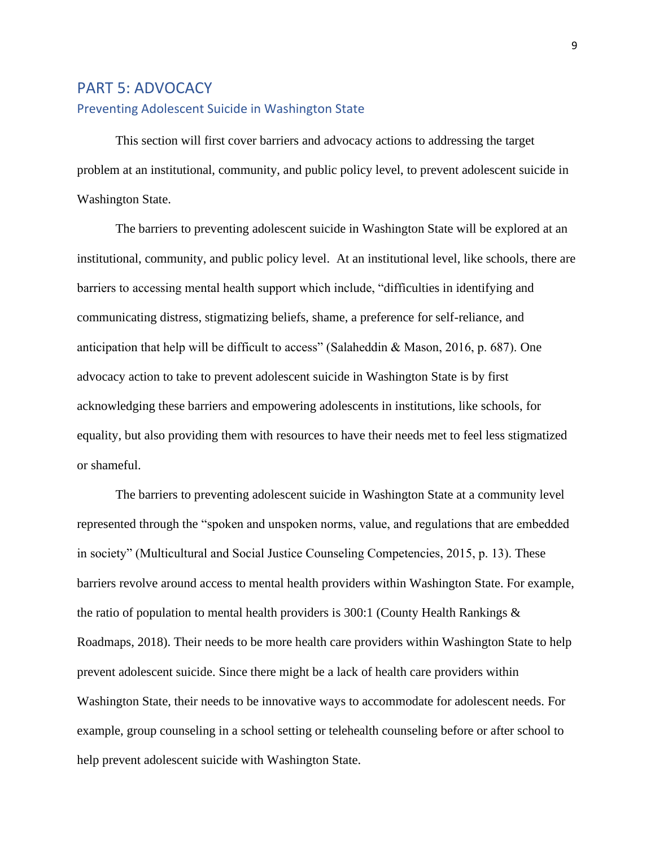### PART 5: ADVOCACY Preventing Adolescent Suicide in Washington State

This section will first cover barriers and advocacy actions to addressing the target problem at an institutional, community, and public policy level, to prevent adolescent suicide in Washington State.

The barriers to preventing adolescent suicide in Washington State will be explored at an institutional, community, and public policy level. At an institutional level, like schools, there are barriers to accessing mental health support which include, "difficulties in identifying and communicating distress, stigmatizing beliefs, shame, a preference for self-reliance, and anticipation that help will be difficult to access" (Salaheddin & Mason, 2016, p. 687). One advocacy action to take to prevent adolescent suicide in Washington State is by first acknowledging these barriers and empowering adolescents in institutions, like schools, for equality, but also providing them with resources to have their needs met to feel less stigmatized or shameful.

The barriers to preventing adolescent suicide in Washington State at a community level represented through the "spoken and unspoken norms, value, and regulations that are embedded in society" (Multicultural and Social Justice Counseling Competencies, 2015, p. 13). These barriers revolve around access to mental health providers within Washington State. For example, the ratio of population to mental health providers is 300:1 (County Health Rankings & Roadmaps, 2018). Their needs to be more health care providers within Washington State to help prevent adolescent suicide. Since there might be a lack of health care providers within Washington State, their needs to be innovative ways to accommodate for adolescent needs. For example, group counseling in a school setting or telehealth counseling before or after school to help prevent adolescent suicide with Washington State.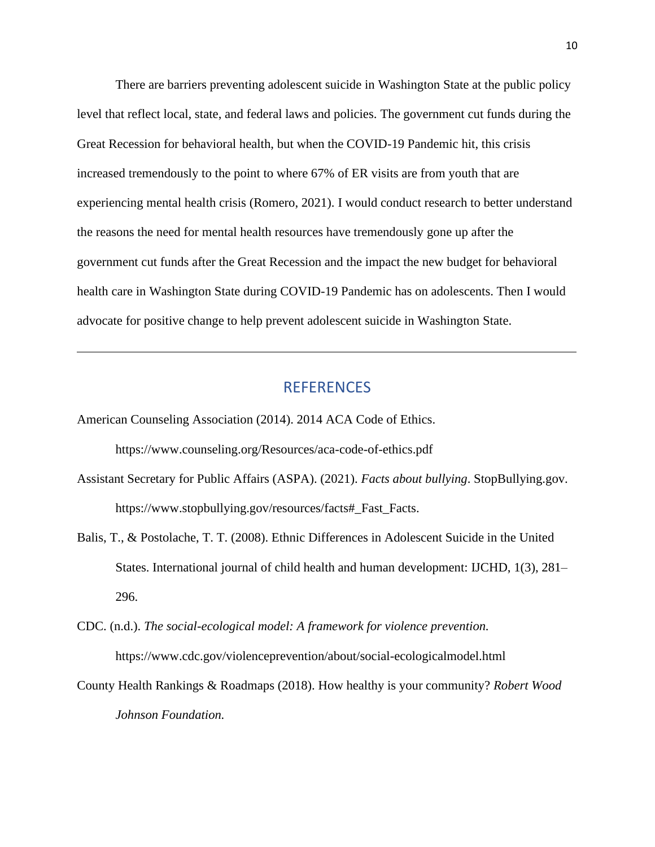There are barriers preventing adolescent suicide in Washington State at the public policy level that reflect local, state, and federal laws and policies. The government cut funds during the Great Recession for behavioral health, but when the COVID-19 Pandemic hit, this crisis increased tremendously to the point to where 67% of ER visits are from youth that are experiencing mental health crisis (Romero, 2021). I would conduct research to better understand the reasons the need for mental health resources have tremendously gone up after the government cut funds after the Great Recession and the impact the new budget for behavioral health care in Washington State during COVID-19 Pandemic has on adolescents. Then I would advocate for positive change to help prevent adolescent suicide in Washington State.

#### REFERENCES

- American Counseling Association (2014). 2014 ACA Code of Ethics. https://www.counseling.org/Resources/aca-code-of-ethics.pdf
- Assistant Secretary for Public Affairs (ASPA). (2021). *Facts about bullying*. StopBullying.gov. https://www.stopbullying.gov/resources/facts#\_Fast\_Facts.
- Balis, T., & Postolache, T. T. (2008). Ethnic Differences in Adolescent Suicide in the United States. International journal of child health and human development: IJCHD, 1(3), 281– 296.
- CDC. (n.d.). *The social-ecological model: A framework for violence prevention.*  https://www.cdc.gov/violenceprevention/about/social-ecologicalmodel.html
- County Health Rankings & Roadmaps (2018). How healthy is your community? *Robert Wood Johnson Foundation.*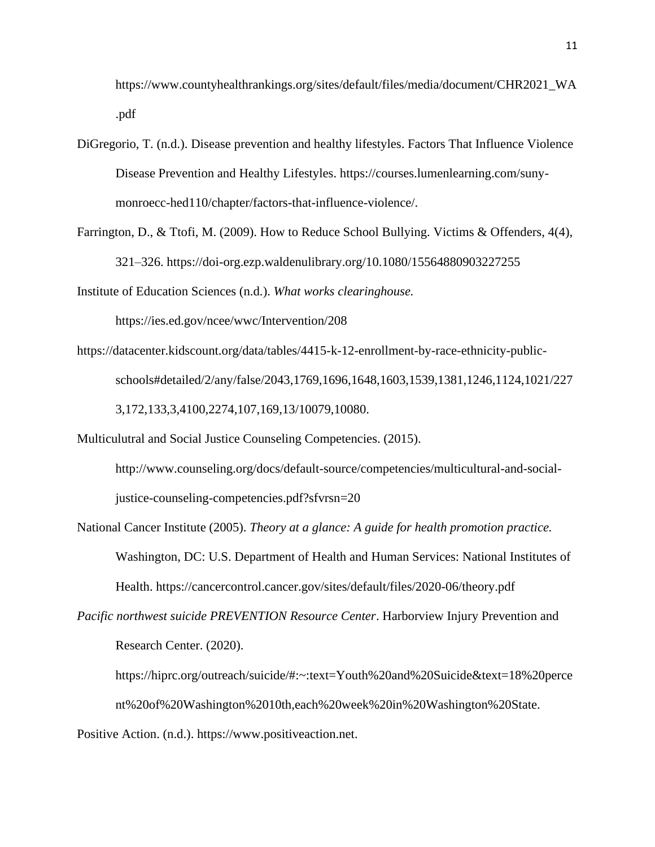https://www.countyhealthrankings.org/sites/default/files/media/document/CHR2021\_WA .pdf

- DiGregorio, T. (n.d.). Disease prevention and healthy lifestyles. Factors That Influence Violence Disease Prevention and Healthy Lifestyles. https://courses.lumenlearning.com/sunymonroecc-hed110/chapter/factors-that-influence-violence/.
- Farrington, D., & Ttofi, M. (2009). How to Reduce School Bullying. Victims & Offenders, 4(4), 321–326.<https://doi-org.ezp.waldenulibrary.org/10.1080/15564880903227255>

Institute of Education Sciences (n.d.). *What works clearinghouse.*

https://ies.ed.gov/ncee/wwc/Intervention/208

https://datacenter.kidscount.org/data/tables/4415-k-12-enrollment-by-race-ethnicity-publicschools#detailed/2/any/false/2043,1769,1696,1648,1603,1539,1381,1246,1124,1021/227 3,172,133,3,4100,2274,107,169,13/10079,10080.

Multiculutral and Social Justice Counseling Competencies. (2015).

http://www.counseling.org/docs/default-source/competencies/multicultural-and-socialjustice-counseling-competencies.pdf?sfvrsn=20

- National Cancer Institute (2005). *Theory at a glance: A guide for health promotion practice.* Washington, DC: U.S. Department of Health and Human Services: National Institutes of Health. https://cancercontrol.cancer.gov/sites/default/files/2020-06/theory.pdf
- *Pacific northwest suicide PREVENTION Resource Center*. Harborview Injury Prevention and Research Center. (2020).
	- https://hiprc.org/outreach/suicide/#:~:text=Youth%20and%20Suicide&text=18%20perce nt%20of%20Washington%2010th,each%20week%20in%20Washington%20State.

Positive Action. (n.d.). https://www.positiveaction.net.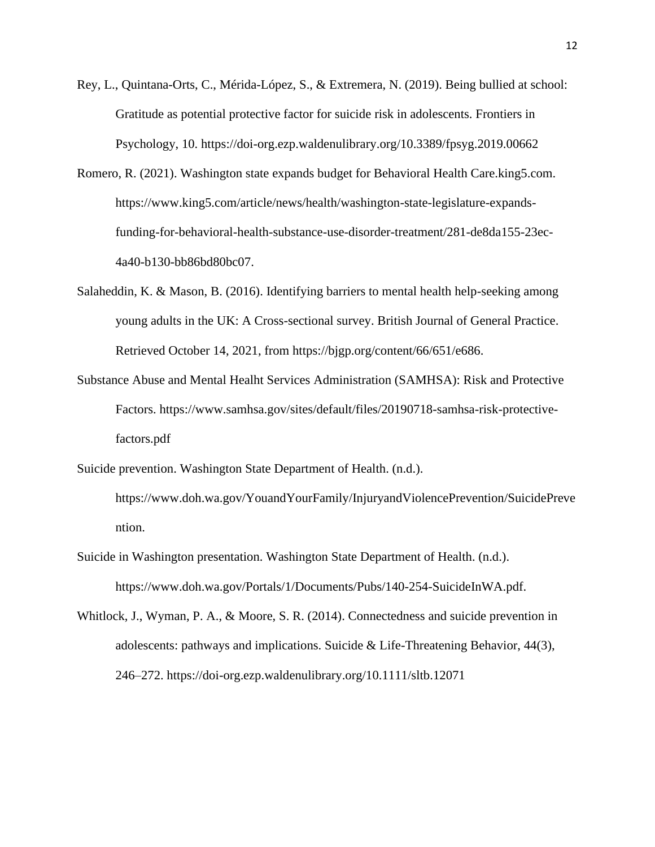- Rey, L., Quintana-Orts, C., Mérida-López, S., & Extremera, N. (2019). Being bullied at school: Gratitude as potential protective factor for suicide risk in adolescents. Frontiers in Psychology, 10. https://doi-org.ezp.waldenulibrary.org/10.3389/fpsyg.2019.00662
- Romero, R. (2021). Washington state expands budget for Behavioral Health Care.king5.com. https://www.king5.com/article/news/health/washington-state-legislature-expandsfunding-for-behavioral-health-substance-use-disorder-treatment/281-de8da155-23ec-4a40-b130-bb86bd80bc07.
- Salaheddin, K. & Mason, B. (2016). Identifying barriers to mental health help-seeking among young adults in the UK: A Cross-sectional survey. British Journal of General Practice. Retrieved October 14, 2021, from https://bjgp.org/content/66/651/e686.
- Substance Abuse and Mental Healht Services Administration (SAMHSA): Risk and Protective Factors. https://www.samhsa.gov/sites/default/files/20190718-samhsa-risk-protectivefactors.pdf
- Suicide prevention. Washington State Department of Health. (n.d.). https://www.doh.wa.gov/YouandYourFamily/InjuryandViolencePrevention/SuicidePreve ntion.
- Suicide in Washington presentation. Washington State Department of Health. (n.d.). https://www.doh.wa.gov/Portals/1/Documents/Pubs/140-254-SuicideInWA.pdf.
- Whitlock, J., Wyman, P. A., & Moore, S. R. (2014). Connectedness and suicide prevention in adolescents: pathways and implications. Suicide & Life-Threatening Behavior, 44(3), 246–272.<https://doi-org.ezp.waldenulibrary.org/10.1111/sltb.12071>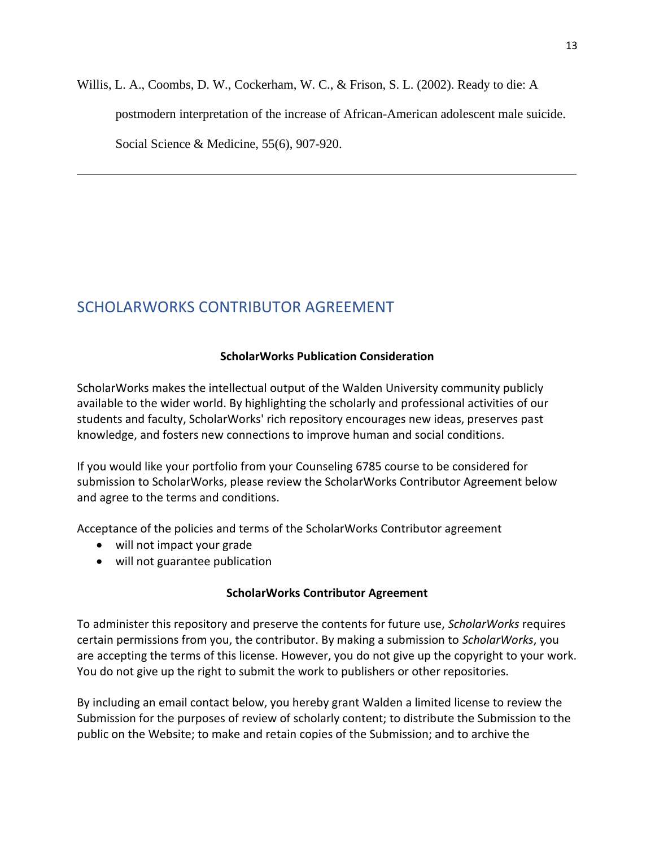Willis, L. A., Coombs, D. W., Cockerham, W. C., & Frison, S. L. (2002). Ready to die: A postmodern interpretation of the increase of African-American adolescent male suicide. Social Science & Medicine, 55(6), 907-920.

# SCHOLARWORKS CONTRIBUTOR AGREEMENT

#### **ScholarWorks Publication Consideration**

ScholarWorks makes the intellectual output of the Walden University community publicly available to the wider world. By highlighting the scholarly and professional activities of our students and faculty, ScholarWorks' rich repository encourages new ideas, preserves past knowledge, and fosters new connections to improve human and social conditions.

If you would like your portfolio from your Counseling 6785 course to be considered for submission to ScholarWorks, please review the ScholarWorks Contributor Agreement below and agree to the terms and conditions.

Acceptance of the policies and terms of the ScholarWorks Contributor agreement

- will not impact your grade
- will not guarantee publication

#### **ScholarWorks Contributor Agreement**

To administer this repository and preserve the contents for future use, *ScholarWorks* requires certain permissions from you, the contributor. By making a submission to *ScholarWorks*, you are accepting the terms of this license. However, you do not give up the copyright to your work. You do not give up the right to submit the work to publishers or other repositories.

By including an email contact below, you hereby grant Walden a limited license to review the Submission for the purposes of review of scholarly content; to distribute the Submission to the public on the Website; to make and retain copies of the Submission; and to archive the